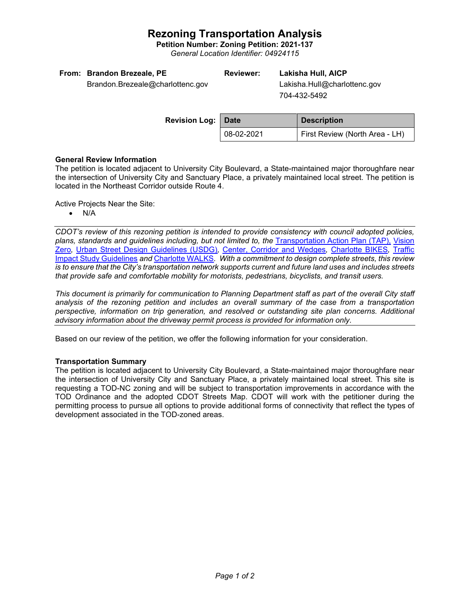## **Rezoning Transportation Analysis**

**Petition Number: Zoning Petition: 2021-137**

*General Location Identifier: 04924115*

| From: Brandon Brezeale, PE       | Reviewer: | Lakisha Hull, AICP           |
|----------------------------------|-----------|------------------------------|
| Brandon.Brezeale@charlottenc.gov |           | Lakisha.Hull@charlottenc.gov |

 Lakisha.Hull@charlottenc.gov 704-432-5492

| <b>Revision Log: Date</b> |               | <b>Description</b>             |  |
|---------------------------|---------------|--------------------------------|--|
|                           | $ 08-02-2021$ | First Review (North Area - LH) |  |

#### **General Review Information**

The petition is located adjacent to University City Boulevard, a State-maintained major thoroughfare near the intersection of University City and Sanctuary Place, a privately maintained local street. The petition is located in the Northeast Corridor outside Route 4.

Active Projects Near the Site:

• N/A

*CDOT's review of this rezoning petition is intended to provide consistency with council adopted policies, plans, standards and guidelines including, but not limited to, the* [Transportation Action Plan \(TAP\),](https://charlottenc.gov/Transportation/Programs/Pages/TransportationActionPlan.aspx) [Vision](https://charlottenc.gov/VisionZero/Pages/VisionZero.aspx)  [Zero](https://charlottenc.gov/VisionZero/Pages/VisionZero.aspx)*,* [Urban Street Design Guidelines \(USDG\)](https://charlottenc.gov/Transportation/PlansProjects/Documents/USDG%20Full%20Document.pdf)*,* [Center, Corridor and](http://ww.charmeck.org/Planning/Land%20Use%20Planning/CentersCorridorsWedges/CentersCorridorsWedges(Adopted).pdf) Wedges*,* [Charlotte BIKES](https://charlottenc.gov/Transportation/Programs/Pages/Bicycle.aspx)*,* [Traffic](https://charlottenc.gov/Transportation/Permits/Documents/TISProcessandGuildlines.pdf)  [Impact Study Guidelines](https://charlottenc.gov/Transportation/Permits/Documents/TISProcessandGuildlines.pdf) *and* [Charlotte WALKS](https://charlottenc.gov/Transportation/Programs/Pages/CharlotteWalks.aspx)*. With a commitment to design complete streets, this review is to ensure that the City's transportation network supports current and future land uses and includes streets that provide safe and comfortable mobility for motorists, pedestrians, bicyclists, and transit users.*

*This document is primarily for communication to Planning Department staff as part of the overall City staff analysis of the rezoning petition and includes an overall summary of the case from a transportation perspective, information on trip generation, and resolved or outstanding site plan concerns. Additional advisory information about the driveway permit process is provided for information only.*

Based on our review of the petition, we offer the following information for your consideration.

### **Transportation Summary**

The petition is located adjacent to University City Boulevard, a State-maintained major thoroughfare near the intersection of University City and Sanctuary Place, a privately maintained local street. This site is requesting a TOD-NC zoning and will be subject to transportation improvements in accordance with the TOD Ordinance and the adopted CDOT Streets Map. CDOT will work with the petitioner during the permitting process to pursue all options to provide additional forms of connectivity that reflect the types of development associated in the TOD-zoned areas.